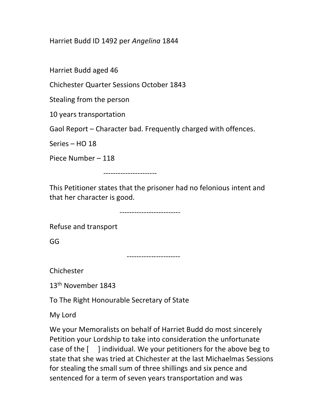Harriet Budd ID 1492 per Angelina 1844

Harriet Budd aged 46

Chichester Quarter Sessions October 1843

Stealing from the person

10 years transportation

Gaol Report – Character bad. Frequently charged with offences.

Series – HO 18

Piece Number – 118

----------------------

This Petitioner states that the prisoner had no felonious intent and that her character is good.

-------------------------

Refuse and transport

GG

----------------------

Chichester

13<sup>th</sup> November 1843

To The Right Honourable Secretary of State

My Lord

We your Memoralists on behalf of Harriet Budd do most sincerely Petition your Lordship to take into consideration the unfortunate case of the  $\lceil \quad \rceil$  individual. We your petitioners for the above beg to state that she was tried at Chichester at the last Michaelmas Sessions for stealing the small sum of three shillings and six pence and sentenced for a term of seven years transportation and was